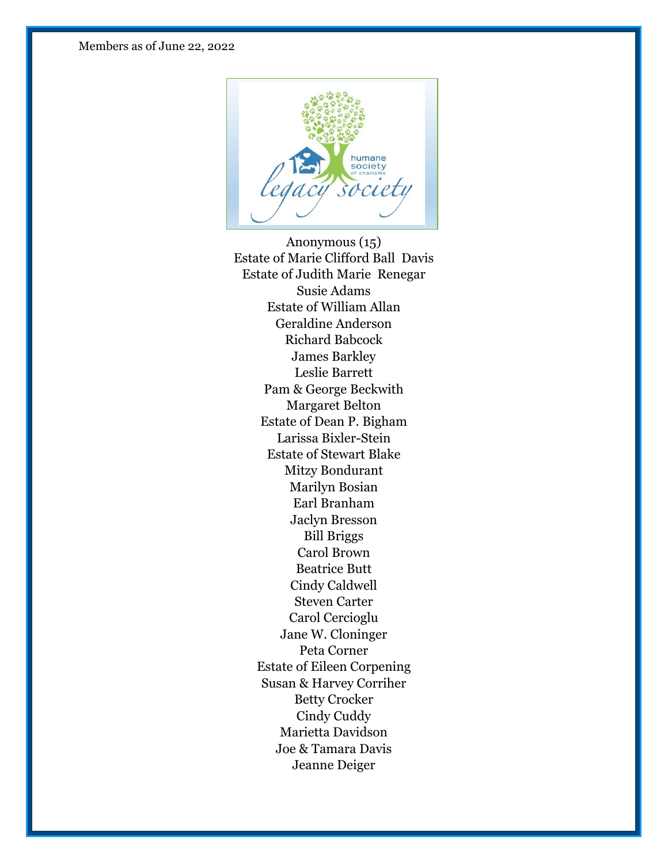

Anonymous (15) Estate of Marie Clifford Ball Davis Estate of Judith Marie Renegar Susie Adams Estate of William Allan Geraldine Anderson Richard Babcock James Barkley Leslie Barrett Pam & George Beckwith Margaret Belton Estate of Dean P. Bigham Larissa Bixler-Stein Estate of Stewart Blake Mitzy Bondurant Marilyn Bosian Earl Branham Jaclyn Bresson Bill Briggs Carol Brown Beatrice Butt Cindy Caldwell Steven Carter Carol Cercioglu Jane W. Cloninger Peta Corner Estate of Eileen Corpening Susan & Harvey Corriher Betty Crocker Cindy Cuddy Marietta Davidson Joe & Tamara Davis Jeanne Deiger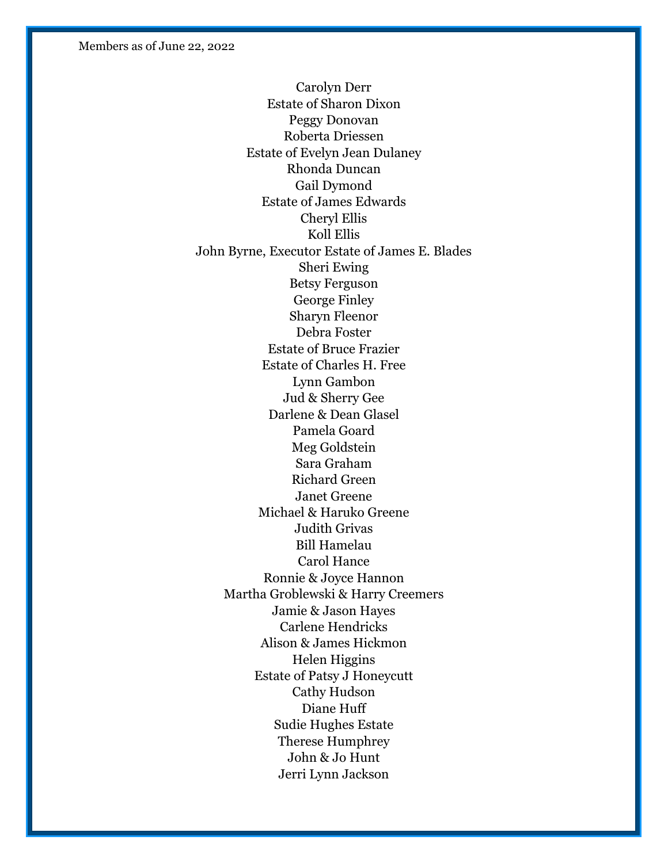Carolyn Derr Estate of Sharon Dixon Peggy Donovan Roberta Driessen Estate of Evelyn Jean Dulaney Rhonda Duncan Gail Dymond Estate of James Edwards Cheryl Ellis Koll Ellis John Byrne, Executor Estate of James E. Blades Sheri Ewing Betsy Ferguson George Finley Sharyn Fleenor Debra Foster Estate of Bruce Frazier Estate of Charles H. Free Lynn Gambon Jud & Sherry Gee Darlene & Dean Glasel Pamela Goard Meg Goldstein Sara Graham Richard Green Janet Greene Michael & Haruko Greene Judith Grivas Bill Hamelau Carol Hance Ronnie & Joyce Hannon Martha Groblewski & Harry Creemers Jamie & Jason Hayes Carlene Hendricks Alison & James Hickmon Helen Higgins Estate of Patsy J Honeycutt Cathy Hudson Diane Huff Sudie Hughes Estate Therese Humphrey John & Jo Hunt Jerri Lynn Jackson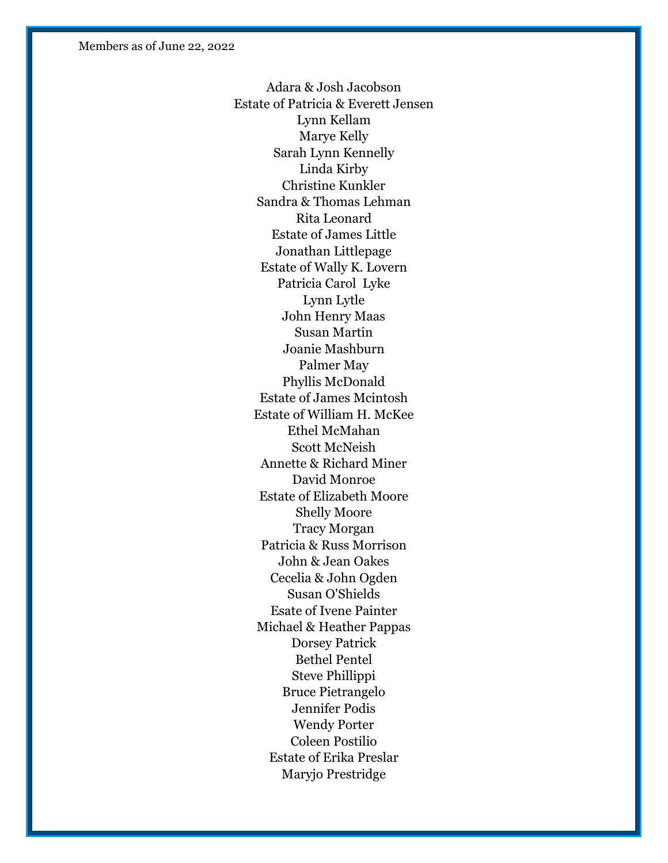Adara & Josh Jacobson Estate of Patricia & Everett Jensen Lynn Kellam Marye Kelly Sarah Lynn Kennelly Linda Kirby Christine Kunkler Sandra & Thomas Lehman Rita Leonard Estate of James Little Jonathan Littlepage Estate of Wally K. Lovern Patricia Carol Lyke Lynn Lytle John Henry Maas Susan Martin Joanie Mashburn Palmer May Phyllis McDonald Estate of James Mcintosh Estate of William H. McKee Ethel McMahan Scott McNeish Annette & Richard Miner David Monroe Estate of Elizabeth Moore Shelly Moore Tracy Morgan Patricia & Russ Morrison John & Jean Oakes Cecelia & John Ogden Susan O'Shields Esate of Ivene Painter Michael & Heather Pappas Dorsey Patrick Bethel Pentel Steve Phillippi Bruce Pietrangelo Jennifer Podis Wendy Porter Coleen Postilio Estate of Erika Preslar Maryjo Prestridge